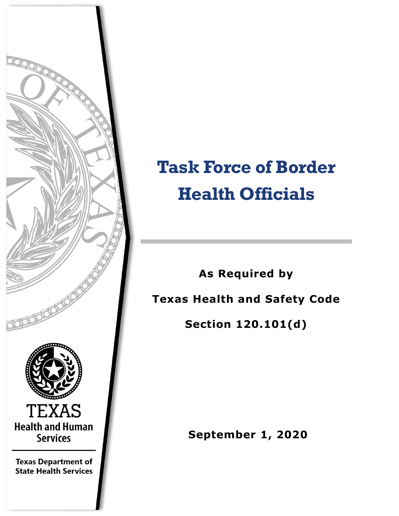

# **Task Force of Border Health Officials**

**As Required by Texas Health and Safety Code** 

**Section 120.101(d)**

**September 1, 2020**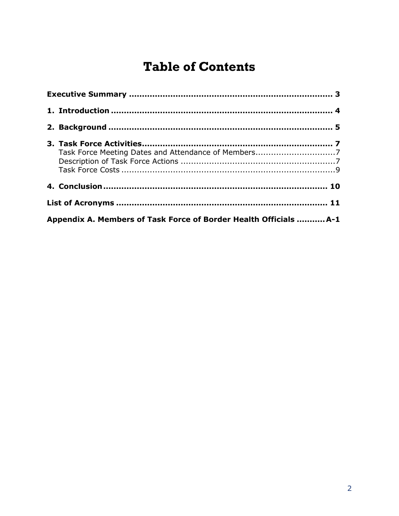## **Table of Contents**

| Appendix A. Members of Task Force of Border Health Officials  A-1 |  |  |  |  |
|-------------------------------------------------------------------|--|--|--|--|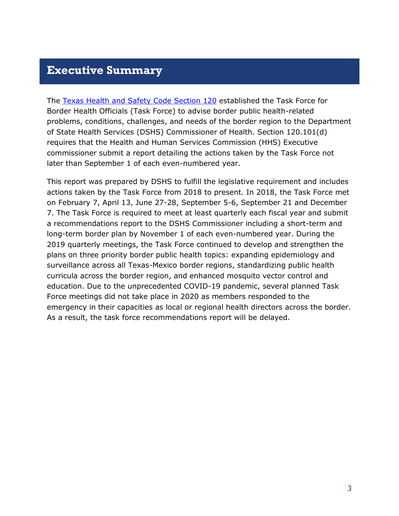#### <span id="page-2-0"></span>**Executive Summary**

The [Texas Health and Safety Code Section 120](https://statutes.capitol.texas.gov/Docs/HS/htm/HS.120.htm) established the Task Force for Border Health Officials (Task Force) to advise border public health-related problems, conditions, challenges, and needs of the border region to the Department of State Health Services (DSHS) Commissioner of Health. Section 120.101(d) requires that the Health and Human Services Commission (HHS) Executive commissioner submit a report detailing the actions taken by the Task Force not later than September 1 of each even-numbered year.

This report was prepared by DSHS to fulfill the legislative requirement and includes actions taken by the Task Force from 2018 to present. In 2018, the Task Force met on February 7, April 13, June 27-28, September 5-6, September 21 and December 7. The Task Force is required to meet at least quarterly each fiscal year and submit a recommendations report to the DSHS Commissioner including a short-term and long-term border plan by November 1 of each even-numbered year. During the 2019 quarterly meetings, the Task Force continued to develop and strengthen the plans on three priority border public health topics: expanding epidemiology and surveillance across all Texas-Mexico border regions, standardizing public health curricula across the border region, and enhanced mosquito vector control and education. Due to the unprecedented COVID-19 pandemic, several planned Task Force meetings did not take place in 2020 as members responded to the emergency in their capacities as local or regional health directors across the border. As a result, the task force recommendations report will be delayed.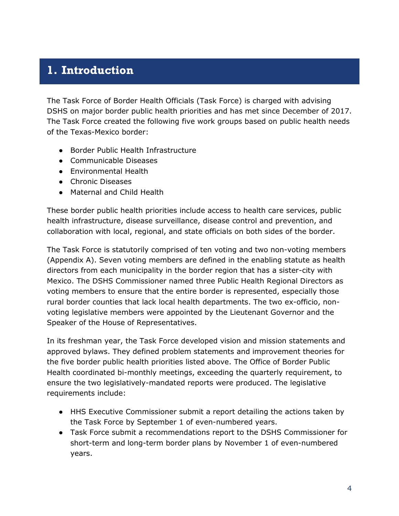#### <span id="page-3-0"></span>**1. Introduction**

The Task Force of Border Health Officials (Task Force) is charged with advising DSHS on major border public health priorities and has met since December of 2017. The Task Force created the following five work groups based on public health needs of the Texas-Mexico border:

- Border Public Health Infrastructure
- Communicable Diseases
- Environmental Health
- Chronic Diseases
- Maternal and Child Health

These border public health priorities include access to health care services, public health infrastructure, disease surveillance, disease control and prevention, and collaboration with local, regional, and state officials on both sides of the border.

The Task Force is statutorily comprised of ten voting and two non-voting members (Appendix A). Seven voting members are defined in the enabling statute as health directors from each municipality in the border region that has a sister-city with Mexico. The DSHS Commissioner named three Public Health Regional Directors as voting members to ensure that the entire border is represented, especially those rural border counties that lack local health departments. The two ex-officio, nonvoting legislative members were appointed by the Lieutenant Governor and the Speaker of the House of Representatives.

In its freshman year, the Task Force developed vision and mission statements and approved bylaws. They defined problem statements and improvement theories for the five border public health priorities listed above. The Office of Border Public Health coordinated bi-monthly meetings, exceeding the quarterly requirement, to ensure the two legislatively-mandated reports were produced. The legislative requirements include:

- HHS Executive Commissioner submit a report detailing the actions taken by the Task Force by September 1 of even-numbered years.
- Task Force submit a recommendations report to the DSHS Commissioner for short-term and long-term border plans by November 1 of even-numbered years.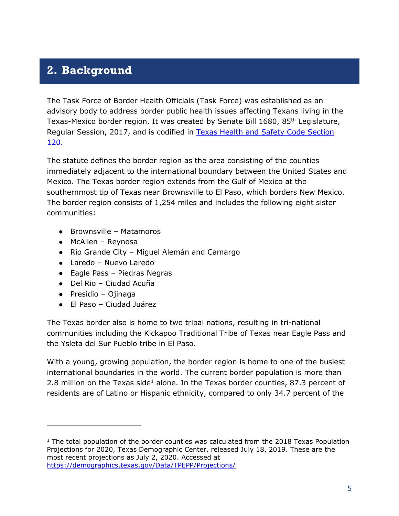## <span id="page-4-0"></span>**2. Background**

The Task Force of Border Health Officials (Task Force) was established as an advisory body to address border public health issues affecting Texans living in the Texas-Mexico border region. It was created by Senate Bill 1680, 85th Legislature, Regular Session, 2017, and is codified in **Texas Health and Safety Code Section** [120.](https://statutes.capitol.texas.gov/Docs/HS/htm/HS.120.htm)

The statute defines the border region as the area consisting of the counties immediately adjacent to the international boundary between the United States and Mexico. The Texas border region extends from the Gulf of Mexico at the southernmost tip of Texas near Brownsville to El Paso, which borders New Mexico. The border region consists of 1,254 miles and includes the following eight sister communities:

- Brownsville Matamoros
- McAllen Reynosa
- Rio Grande City Miguel Alemán and Camargo
- Laredo Nuevo Laredo
- Eagle Pass Piedras Negras
- Del Rio Ciudad Acuña
- Presidio Ojinaga

 $\overline{a}$ 

● El Paso – Ciudad Juárez

The Texas border also is home to two tribal nations, resulting in tri-national communities including the Kickapoo Traditional Tribe of Texas near Eagle Pass and the Ysleta del Sur Pueblo tribe in El Paso.

With a young, growing population, the border region is home to one of the busiest international boundaries in the world. The current border population is more than 2.8 million on the Texas side<sup>1</sup> alone. In the Texas border counties, 87.3 percent of residents are of Latino or Hispanic ethnicity, compared to only 34.7 percent of the

 $1$  The total population of the border counties was calculated from the 2018 Texas Population Projections for 2020, Texas Demographic Center, released July 18, 2019. These are the most recent projections as July 2, 2020. Accessed at <https://demographics.texas.gov/Data/TPEPP/Projections/>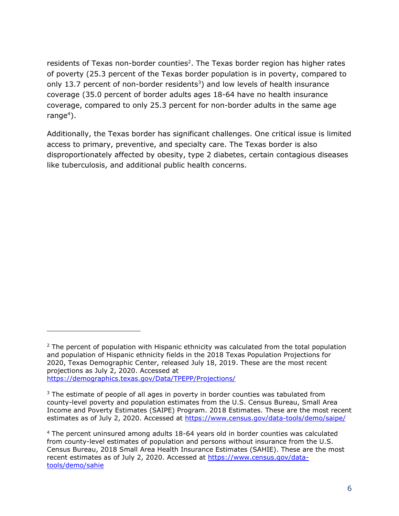residents of Texas non-border counties<sup>2</sup>. The Texas border region has higher rates of poverty (25.3 percent of the Texas border population is in poverty, compared to only 13.7 percent of non-border residents<sup>3</sup>) and low levels of health insurance coverage (35.0 percent of border adults ages 18-64 have no health insurance coverage, compared to only 25.3 percent for non-border adults in the same age range<sup>4</sup>).

Additionally, the Texas border has significant challenges. One critical issue is limited access to primary, preventive, and specialty care. The Texas border is also disproportionately affected by obesity, type 2 diabetes, certain contagious diseases like tuberculosis, and additional public health concerns.

 $\overline{a}$ 

 $2$  The percent of population with Hispanic ethnicity was calculated from the total population and population of Hispanic ethnicity fields in the 2018 Texas Population Projections for 2020, Texas Demographic Center, released July 18, 2019. These are the most recent projections as July 2, 2020. Accessed at <https://demographics.texas.gov/Data/TPEPP/Projections/>

 $3$  The estimate of people of all ages in poverty in border counties was tabulated from county-level poverty and population estimates from the U.S. Census Bureau, Small Area Income and Poverty Estimates (SAIPE) Program. 2018 Estimates. These are the most recent estimates as of July 2, 2020. Accessed at<https://www.census.gov/data-tools/demo/saipe/>

<sup>4</sup> The percent uninsured among adults 18-64 years old in border counties was calculated from county-level estimates of population and persons without insurance from the U.S. Census Bureau, 2018 Small Area Health Insurance Estimates (SAHIE). These are the most recent estimates as of July 2, 2020. Accessed at [https://www.census.gov/data](https://www.census.gov/data-tools/demo/sahie)[tools/demo/sahie](https://www.census.gov/data-tools/demo/sahie)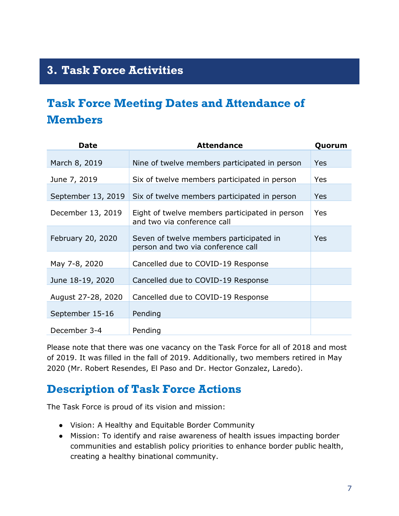## <span id="page-6-0"></span>**3. Task Force Activities**

## <span id="page-6-1"></span>**Task Force Meeting Dates and Attendance of Members**

| Date               | <b>Attendance</b>                                                             | Quorum |
|--------------------|-------------------------------------------------------------------------------|--------|
| March 8, 2019      | Nine of twelve members participated in person                                 | Yes    |
| June 7, 2019       | Six of twelve members participated in person                                  | Yes    |
| September 13, 2019 | Six of twelve members participated in person                                  | Yes    |
| December 13, 2019  | Eight of twelve members participated in person<br>and two via conference call | Yes    |
| February 20, 2020  | Seven of twelve members participated in<br>person and two via conference call | Yes    |
| May 7-8, 2020      | Cancelled due to COVID-19 Response                                            |        |
| June 18-19, 2020   | Cancelled due to COVID-19 Response                                            |        |
| August 27-28, 2020 | Cancelled due to COVID-19 Response                                            |        |
| September 15-16    | Pending                                                                       |        |
| December 3-4       | Pending                                                                       |        |

Please note that there was one vacancy on the Task Force for all of 2018 and most of 2019. It was filled in the fall of 2019. Additionally, two members retired in May 2020 (Mr. Robert Resendes, El Paso and Dr. Hector Gonzalez, Laredo).

#### <span id="page-6-2"></span>**Description of Task Force Actions**

The Task Force is proud of its vision and mission:

- Vision: A Healthy and Equitable Border Community
- Mission: To identify and raise awareness of health issues impacting border communities and establish policy priorities to enhance border public health, creating a healthy binational community.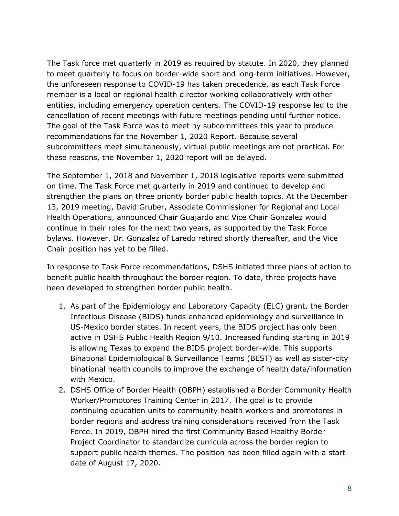The Task force met quarterly in 2019 as required by statute. In 2020, they planned to meet quarterly to focus on border-wide short and long-term initiatives. However, the unforeseen response to COVID-19 has taken precedence, as each Task Force member is a local or regional health director working collaboratively with other entities, including emergency operation centers. The COVID-19 response led to the cancellation of recent meetings with future meetings pending until further notice. The goal of the Task Force was to meet by subcommittees this year to produce recommendations for the November 1, 2020 Report. Because several subcommittees meet simultaneously, virtual public meetings are not practical. For these reasons, the November 1, 2020 report will be delayed.

The September 1, 2018 and November 1, 2018 legislative reports were submitted on time. The Task Force met quarterly in 2019 and continued to develop and strengthen the plans on three priority border public health topics. At the December 13, 2019 meeting, David Gruber, Associate Commissioner for Regional and Local Health Operations, announced Chair Guajardo and Vice Chair Gonzalez would continue in their roles for the next two years, as supported by the Task Force bylaws. However, Dr. Gonzalez of Laredo retired shortly thereafter, and the Vice Chair position has yet to be filled.

In response to Task Force recommendations, DSHS initiated three plans of action to benefit public health throughout the border region. To date, three projects have been developed to strengthen border public health.

- 1. As part of the Epidemiology and Laboratory Capacity (ELC) grant, the Border Infectious Disease (BIDS) funds enhanced epidemiology and surveillance in US-Mexico border states. In recent years, the BIDS project has only been active in DSHS Public Health Region 9/10. Increased funding starting in 2019 is allowing Texas to expand the BIDS project border-wide. This supports Binational Epidemiological & Surveillance Teams (BEST) as well as sister-city binational health councils to improve the exchange of health data/information with Mexico.
- 2. DSHS Office of Border Health (OBPH) established a Border Community Health Worker/Promotores Training Center in 2017. The goal is to provide continuing education units to community health workers and promotores in border regions and address training considerations received from the Task Force. In 2019, OBPH hired the first Community Based Healthy Border Project Coordinator to standardize curricula across the border region to support public health themes. The position has been filled again with a start date of August 17, 2020.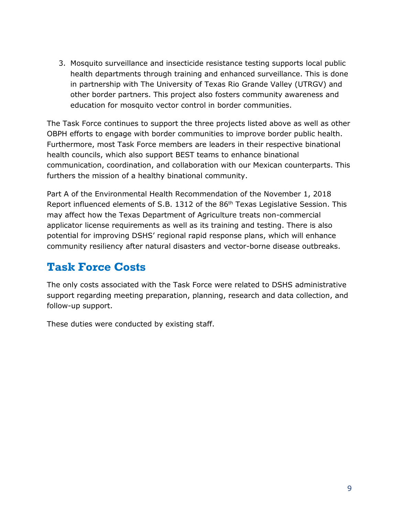3. Mosquito surveillance and insecticide resistance testing supports local public health departments through training and enhanced surveillance. This is done in partnership with The University of Texas Rio Grande Valley (UTRGV) and other border partners. This project also fosters community awareness and education for mosquito vector control in border communities.

The Task Force continues to support the three projects listed above as well as other OBPH efforts to engage with border communities to improve border public health. Furthermore, most Task Force members are leaders in their respective binational health councils, which also support BEST teams to enhance binational communication, coordination, and collaboration with our Mexican counterparts. This furthers the mission of a healthy binational community.

Part A of the Environmental Health Recommendation of the November 1, 2018 Report influenced elements of S.B. 1312 of the 86<sup>th</sup> Texas Legislative Session. This may affect how the Texas Department of Agriculture treats non-commercial applicator license requirements as well as its training and testing. There is also potential for improving DSHS' regional rapid response plans, which will enhance community resiliency after natural disasters and vector-borne disease outbreaks.

## <span id="page-8-0"></span>**Task Force Costs**

The only costs associated with the Task Force were related to DSHS administrative support regarding meeting preparation, planning, research and data collection, and follow-up support.

These duties were conducted by existing staff.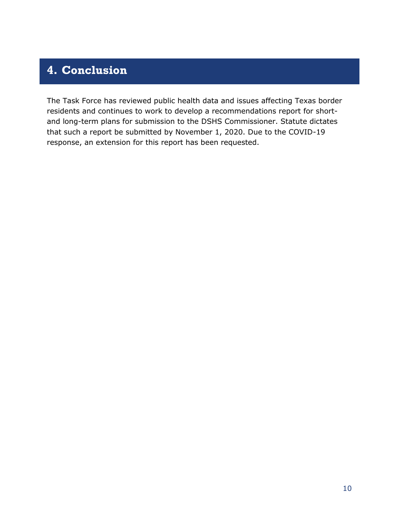## <span id="page-9-0"></span>**4. Conclusion**

The Task Force has reviewed public health data and issues affecting Texas border residents and continues to work to develop a recommendations report for shortand long-term plans for submission to the DSHS Commissioner. Statute dictates that such a report be submitted by November 1, 2020. Due to the COVID-19 response, an extension for this report has been requested.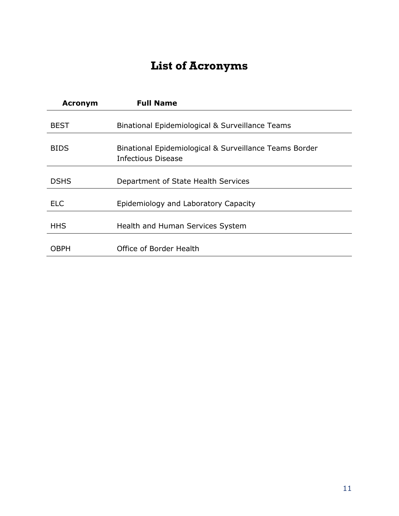## **List of Acronyms**

<span id="page-10-0"></span>

| <b>Acronym</b> | <b>Full Name</b>                                                             |
|----------------|------------------------------------------------------------------------------|
| <b>BEST</b>    | Binational Epidemiological & Surveillance Teams                              |
| <b>BIDS</b>    | Binational Epidemiological & Surveillance Teams Border<br>Infectious Disease |
| <b>DSHS</b>    | Department of State Health Services                                          |
| FI C           | Epidemiology and Laboratory Capacity                                         |
| <b>HHS</b>     | Health and Human Services System                                             |
| OBPH           | Office of Border Health                                                      |